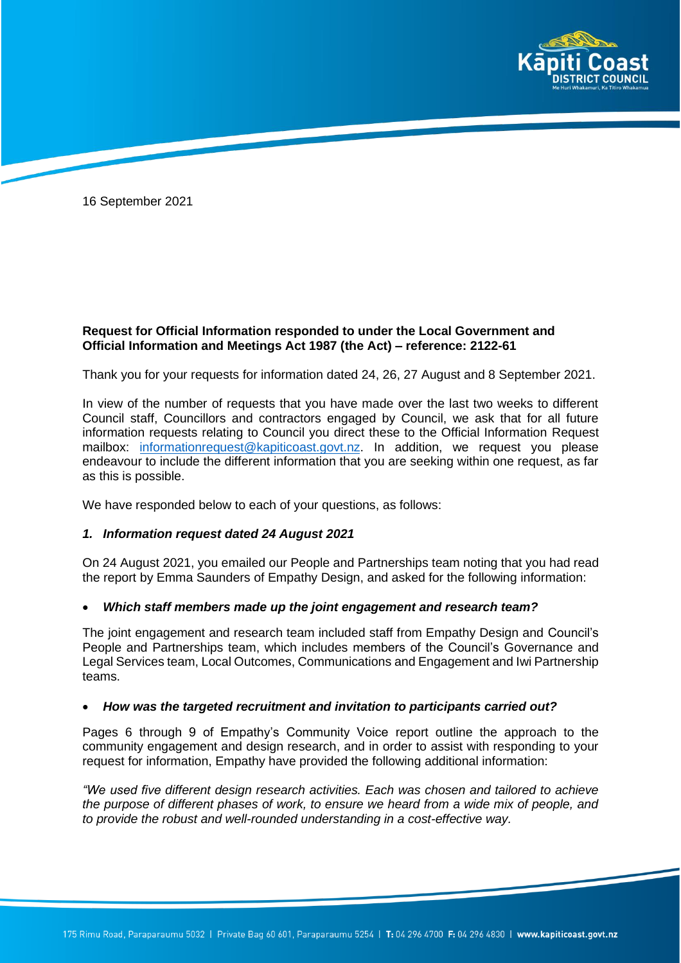

16 September 2021

# **Request for Official Information responded to under the Local Government and Official Information and Meetings Act 1987 (the Act) – reference: 2122-61**

Thank you for your requests for information dated 24, 26, 27 August and 8 September 2021.

In view of the number of requests that you have made over the last two weeks to different Council staff, Councillors and contractors engaged by Council, we ask that for all future information requests relating to Council you direct these to the Official Information Request mailbox: [informationrequest@kapiticoast.govt.nz.](mailto:informationrequest@kapiticoast.govt.nz) In addition, we request you please endeavour to include the different information that you are seeking within one request, as far as this is possible.

We have responded below to each of your questions, as follows:

## *1. Information request dated 24 August 2021*

On 24 August 2021, you emailed our People and Partnerships team noting that you had read the report by Emma Saunders of Empathy Design, and asked for the following information:

## • *Which staff members made up the joint engagement and research team?*

The joint engagement and research team included staff from Empathy Design and Council's People and Partnerships team, which includes members of the Council's Governance and Legal Services team, Local Outcomes, Communications and Engagement and Iwi Partnership teams.

## • *How was the targeted recruitment and invitation to participants carried out?*

Pages 6 through 9 of Empathy's Community Voice report outline the approach to the community engagement and design research, and in order to assist with responding to your request for information, Empathy have provided the following additional information:

*"We used five different design research activities. Each was chosen and tailored to achieve the purpose of different phases of work, to ensure we heard from a wide mix of people, and to provide the robust and well-rounded understanding in a cost-effective way.*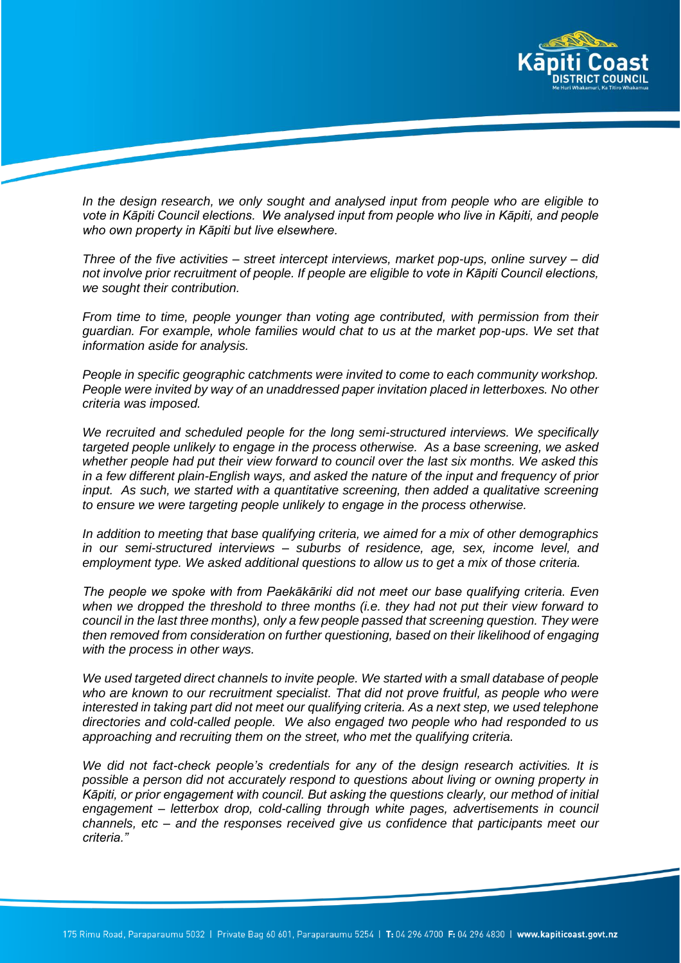

*In the design research, we only sought and analysed input from people who are eligible to vote in Kāpiti Council elections. We analysed input from people who live in Kāpiti, and people who own property in Kāpiti but live elsewhere.*

*Three of the five activities – street intercept interviews, market pop-ups, online survey – did not involve prior recruitment of people. If people are eligible to vote in Kāpiti Council elections, we sought their contribution.*

*From time to time, people younger than voting age contributed, with permission from their guardian. For example, whole families would chat to us at the market pop-ups. We set that information aside for analysis.*

*People in specific geographic catchments were invited to come to each community workshop. People were invited by way of an unaddressed paper invitation placed in letterboxes. No other criteria was imposed.* 

*We recruited and scheduled people for the long semi-structured interviews. We specifically targeted people unlikely to engage in the process otherwise. As a base screening, we asked whether people had put their view forward to council over the last six months. We asked this in a few different plain-English ways, and asked the nature of the input and frequency of prior input. As such, we started with a quantitative screening, then added a qualitative screening to ensure we were targeting people unlikely to engage in the process otherwise.*

*In addition to meeting that base qualifying criteria, we aimed for a mix of other demographics in our semi-structured interviews – suburbs of residence, age, sex, income level, and employment type. We asked additional questions to allow us to get a mix of those criteria.*

*The people we spoke with from Paekākāriki did not meet our base qualifying criteria. Even when we dropped the threshold to three months (i.e. they had not put their view forward to council in the last three months), only a few people passed that screening question. They were then removed from consideration on further questioning, based on their likelihood of engaging with the process in other ways.*

*We used targeted direct channels to invite people. We started with a small database of people who are known to our recruitment specialist. That did not prove fruitful, as people who were interested in taking part did not meet our qualifying criteria. As a next step, we used telephone directories and cold-called people. We also engaged two people who had responded to us approaching and recruiting them on the street, who met the qualifying criteria.*

*We did not fact-check people's credentials for any of the design research activities. It is possible a person did not accurately respond to questions about living or owning property in Kāpiti, or prior engagement with council. But asking the questions clearly, our method of initial engagement – letterbox drop, cold-calling through white pages, advertisements in council channels, etc – and the responses received give us confidence that participants meet our criteria."*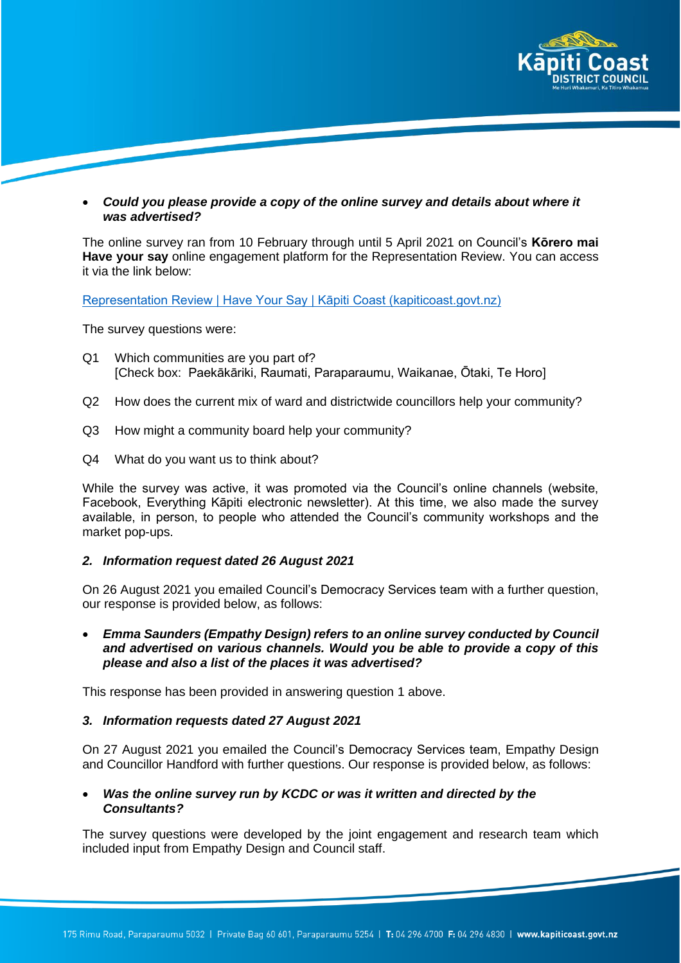

## • *Could you please provide a copy of the online survey and details about where it was advertised?*

The online survey ran from 10 February through until 5 April 2021 on Council's **Kōrero mai Have your say** online engagement platform for the Representation Review. You can access it via the link below:

[Representation Review | Have Your Say | Kāpiti Coast \(kapiticoast.govt.nz\)](https://haveyoursay.kapiticoast.govt.nz/representation-review)

The survey questions were:

- Q1 Which communities are you part of? [Check box: Paekākāriki, Raumati, Paraparaumu, Waikanae, Ōtaki, Te Horo]
- Q2 How does the current mix of ward and districtwide councillors help your community?
- Q3 How might a community board help your community?
- Q4 What do you want us to think about?

While the survey was active, it was promoted via the Council's online channels (website, Facebook, Everything Kāpiti electronic newsletter). At this time, we also made the survey available, in person, to people who attended the Council's community workshops and the market pop-ups.

## *2. Information request dated 26 August 2021*

On 26 August 2021 you emailed Council's Democracy Services team with a further question, our response is provided below, as follows:

• *Emma Saunders (Empathy Design) refers to an online survey conducted by Council and advertised on various channels. Would you be able to provide a copy of this please and also a list of the places it was advertised?*

This response has been provided in answering question 1 above.

## *3. Information requests dated 27 August 2021*

On 27 August 2021 you emailed the Council's Democracy Services team, Empathy Design and Councillor Handford with further questions. Our response is provided below, as follows:

• *Was the online survey run by KCDC or was it written and directed by the Consultants?*

The survey questions were developed by the joint engagement and research team which included input from Empathy Design and Council staff.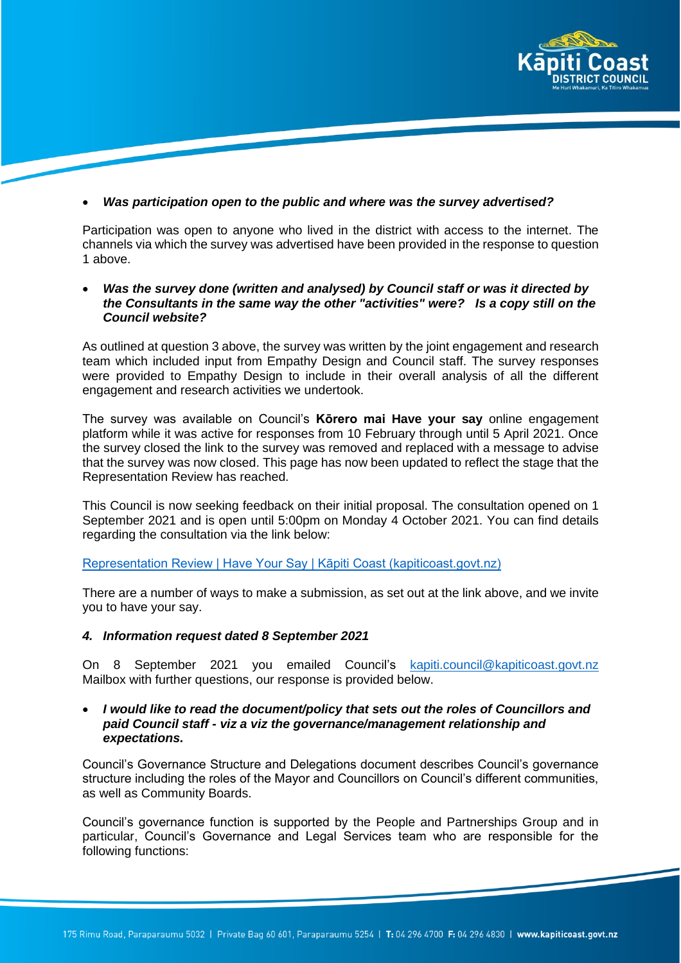

## • *Was participation open to the public and where was the survey advertised?*

Participation was open to anyone who lived in the district with access to the internet. The channels via which the survey was advertised have been provided in the response to question 1 above.

## • *Was the survey done (written and analysed) by Council staff or was it directed by the Consultants in the same way the other "activities" were? Is a copy still on the Council website?*

As outlined at question 3 above, the survey was written by the joint engagement and research team which included input from Empathy Design and Council staff. The survey responses were provided to Empathy Design to include in their overall analysis of all the different engagement and research activities we undertook.

The survey was available on Council's **Kōrero mai Have your say** online engagement platform while it was active for responses from 10 February through until 5 April 2021. Once the survey closed the link to the survey was removed and replaced with a message to advise that the survey was now closed. This page has now been updated to reflect the stage that the Representation Review has reached.

This Council is now seeking feedback on their initial proposal. The consultation opened on 1 September 2021 and is open until 5:00pm on Monday 4 October 2021. You can find details regarding the consultation via the link below:

[Representation Review | Have Your Say | Kāpiti Coast \(kapiticoast.govt.nz\)](https://haveyoursay.kapiticoast.govt.nz/representation-review)

There are a number of ways to make a submission, as set out at the link above, and we invite you to have your say.

#### *4. Information request dated 8 September 2021*

On 8 September 2021 you emailed Council's [kapiti.council@kapiticoast.govt.nz](mailto:kapiti.council@kapiticoast.govt.nz) Mailbox with further questions, our response is provided below.

## • *I would like to read the document/policy that sets out the roles of Councillors and paid Council staff - viz a viz the governance/management relationship and expectations.*

Council's Governance Structure and Delegations document describes Council's governance structure including the roles of the Mayor and Councillors on Council's different communities, as well as Community Boards.

Council's governance function is supported by the People and Partnerships Group and in particular, Council's Governance and Legal Services team who are responsible for the following functions: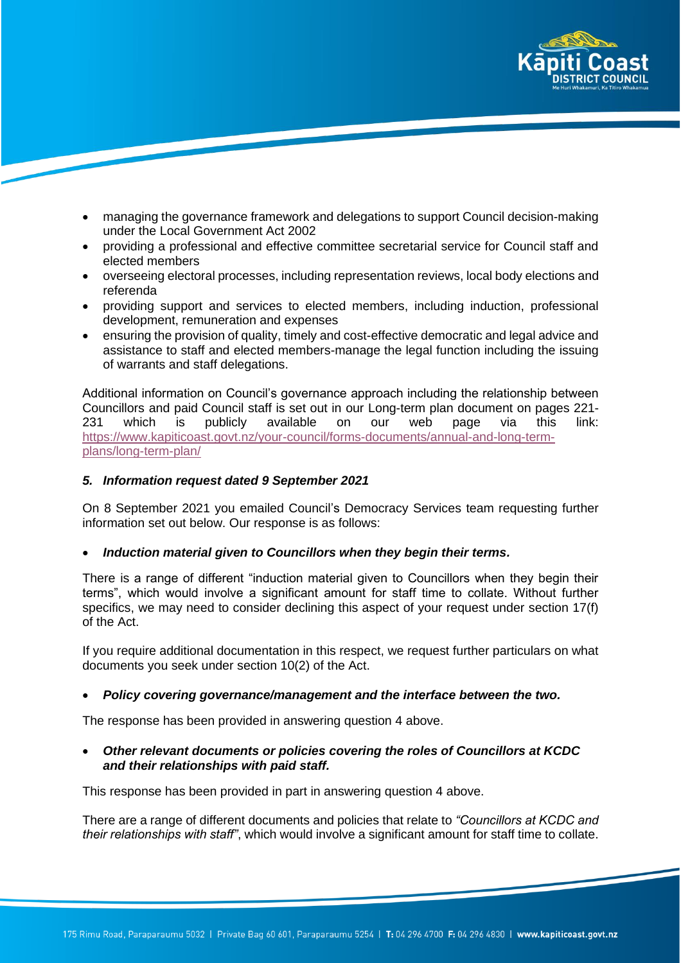

- managing the governance framework and delegations to support Council decision-making under the Local Government Act 2002
- providing a professional and effective committee secretarial service for Council staff and elected members
- overseeing electoral processes, including representation reviews, local body elections and referenda
- providing support and services to elected members, including induction, professional development, remuneration and expenses
- ensuring the provision of quality, timely and cost-effective democratic and legal advice and assistance to staff and elected members-manage the legal function including the issuing of warrants and staff delegations.

Additional information on Council's governance approach including the relationship between Councillors and paid Council staff is set out in our Long-term plan document on pages 221- 231 which is publicly available on our web page via this link: [https://www.kapiticoast.govt.nz/your-council/forms-documents/annual-and-long-term](https://www.kapiticoast.govt.nz/your-council/forms-documents/annual-and-long-term-plans/long-term-plan/)[plans/long-term-plan/](https://www.kapiticoast.govt.nz/your-council/forms-documents/annual-and-long-term-plans/long-term-plan/)

# *5. Information request dated 9 September 2021*

On 8 September 2021 you emailed Council's Democracy Services team requesting further information set out below. Our response is as follows:

• *Induction material given to Councillors when they begin their terms.*

There is a range of different "induction material given to Councillors when they begin their terms", which would involve a significant amount for staff time to collate. Without further specifics, we may need to consider declining this aspect of your request under section 17(f) of the Act.

If you require additional documentation in this respect, we request further particulars on what documents you seek under section 10(2) of the Act.

• *Policy covering governance/management and the interface between the two.*

The response has been provided in answering question 4 above.

• *Other relevant documents or policies covering the roles of Councillors at KCDC and their relationships with paid staff.*

This response has been provided in part in answering question 4 above.

There are a range of different documents and policies that relate to *"Councillors at KCDC and their relationships with staff"*, which would involve a significant amount for staff time to collate.